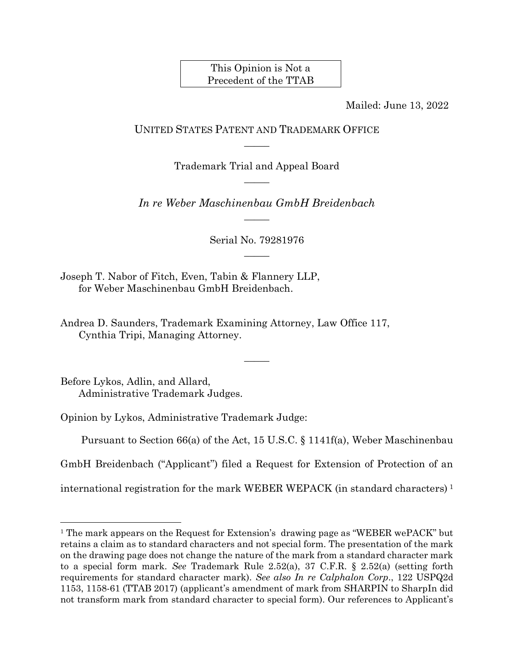This Opinion is Not a Precedent of the TTAB

Mailed: June 13, 2022

UNITED STATES PATENT AND TRADEMARK OFFICE  $\overline{\phantom{a}}$ 

> Trademark Trial and Appeal Board  $\overline{\phantom{a}}$

*In re Weber Maschinenbau GmbH Breidenbach*  $\overline{\phantom{a}}$ 

> Serial No. 79281976  $\overline{\phantom{a}}$

Joseph T. Nabor of Fitch, Even, Tabin & Flannery LLP, for Weber Maschinenbau GmbH Breidenbach.

Andrea D. Saunders, Trademark Examining Attorney, Law Office 117, Cynthia Tripi, Managing Attorney.

Before Lykos, Adlin, and Allard, Administrative Trademark Judges.

l

Opinion by Lykos, Administrative Trademark Judge:

Pursuant to Section 66(a) of the Act, 15 U.S.C. § 1141f(a), Weber Maschinenbau

 $\overline{\phantom{a}}$ 

GmbH Breidenbach ("Applicant") filed a Request for Extension of Protection of an

international registration for the mark WEBER WEPACK (in standard characters) 1

<sup>1</sup> The mark appears on the Request for Extension's drawing page as "WEBER wePACK" but retains a claim as to standard characters and not special form. The presentation of the mark on the drawing page does not change the nature of the mark from a standard character mark to a special form mark. *See* Trademark Rule 2.52(a), 37 C.F.R. § 2.52(a) (setting forth requirements for standard character mark). *See also In re Calphalon Corp*., 122 USPQ2d 1153, 1158-61 (TTAB 2017) (applicant's amendment of mark from SHARPIN to SharpIn did not transform mark from standard character to special form). Our references to Applicant's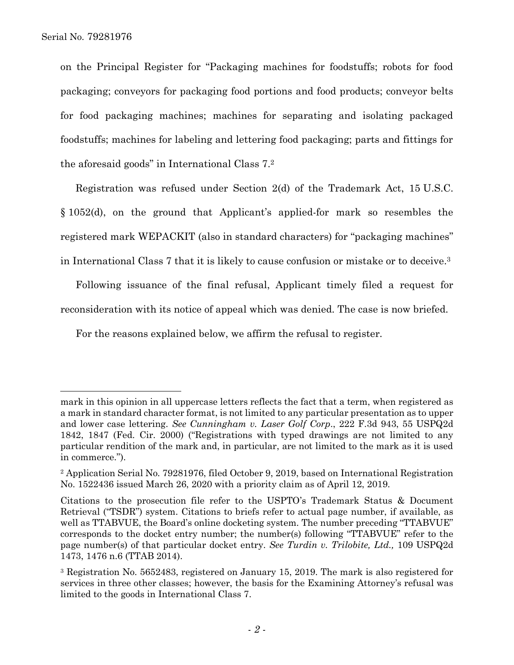$\overline{a}$ 

on the Principal Register for "Packaging machines for foodstuffs; robots for food packaging; conveyors for packaging food portions and food products; conveyor belts for food packaging machines; machines for separating and isolating packaged foodstuffs; machines for labeling and lettering food packaging; parts and fittings for the aforesaid goods" in International Class 7. 2

Registration was refused under Section 2(d) of the Trademark Act, 15 U.S.C. § 1052(d), on the ground that Applicant's applied-for mark so resembles the registered mark WEPACKIT (also in standard characters) for "packaging machines" in International Class 7 that it is likely to cause confusion or mistake or to deceive. 3

Following issuance of the final refusal, Applicant timely filed a request for reconsideration with its notice of appeal which was denied. The case is now briefed.

For the reasons explained below, we affirm the refusal to register.

mark in this opinion in all uppercase letters reflects the fact that a term, when registered as a mark in standard character format, is not limited to any particular presentation as to upper and lower case lettering. *See Cunningham v. Laser Golf Corp*., 222 F.3d 943, 55 USPQ2d 1842, 1847 (Fed. Cir. 2000) ("Registrations with typed drawings are not limited to any particular rendition of the mark and, in particular, are not limited to the mark as it is used in commerce.").

<sup>2</sup> Application Serial No. 79281976, filed October 9, 2019, based on International Registration No. 1522436 issued March 26, 2020 with a priority claim as of April 12, 2019.

Citations to the prosecution file refer to the USPTO's Trademark Status & Document Retrieval ("TSDR") system. Citations to briefs refer to actual page number, if available, as well as TTABVUE, the Board's online docketing system. The number preceding "TTABVUE" corresponds to the docket entry number; the number(s) following "TTABVUE" refer to the page number(s) of that particular docket entry. *See Turdin v. Trilobite, Ltd.,* 109 USPQ2d 1473, 1476 n.6 (TTAB 2014).

<sup>3</sup> Registration No. 5652483, registered on January 15, 2019. The mark is also registered for services in three other classes; however, the basis for the Examining Attorney's refusal was limited to the goods in International Class 7.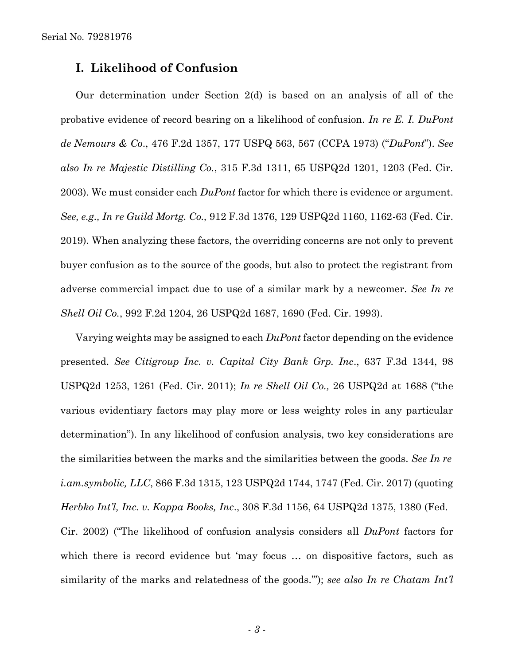# **I. Likelihood of Confusion**

Our determination under Section 2(d) is based on an analysis of all of the probative evidence of record bearing on a likelihood of confusion. *In re E. I. DuPont de Nemours & Co*., 476 F.2d 1357, 177 USPQ 563, 567 (CCPA 1973) ("*DuPont*"). *See also In re Majestic Distilling Co.*, 315 F.3d 1311, 65 USPQ2d 1201, 1203 (Fed. Cir. 2003). We must consider each *DuPont* factor for which there is evidence or argument. *See, e.g., In re Guild Mortg. Co.,* 912 F.3d 1376, 129 USPQ2d 1160, 1162-63 (Fed. Cir. 2019). When analyzing these factors, the overriding concerns are not only to prevent buyer confusion as to the source of the goods, but also to protect the registrant from adverse commercial impact due to use of a similar mark by a newcomer. *See In re Shell Oil Co.*, 992 F.2d 1204, 26 USPQ2d 1687, 1690 (Fed. Cir. 1993).

Varying weights may be assigned to each *DuPont* factor depending on the evidence presented. *See Citigroup Inc. v. Capital City Bank Grp. Inc*., 637 F.3d 1344, 98 USPQ2d 1253, 1261 (Fed. Cir. 2011); *In re Shell Oil Co.,* 26 USPQ2d at 1688 ("the various evidentiary factors may play more or less weighty roles in any particular determination"). In any likelihood of confusion analysis, two key considerations are the similarities between the marks and the similarities between the goods. *See In re i.am.symbolic, LLC*, 866 F.3d 1315, 123 USPQ2d 1744, 1747 (Fed. Cir. 2017) (quoting *Herbko Int'l, Inc. v. Kappa Books, Inc*., 308 F.3d 1156, 64 USPQ2d 1375, 1380 (Fed. Cir. 2002) ("The likelihood of confusion analysis considers all *DuPont* factors for which there is record evidence but 'may focus ... on dispositive factors, such as similarity of the marks and relatedness of the goods.'"); *see also In re Chatam Int'l*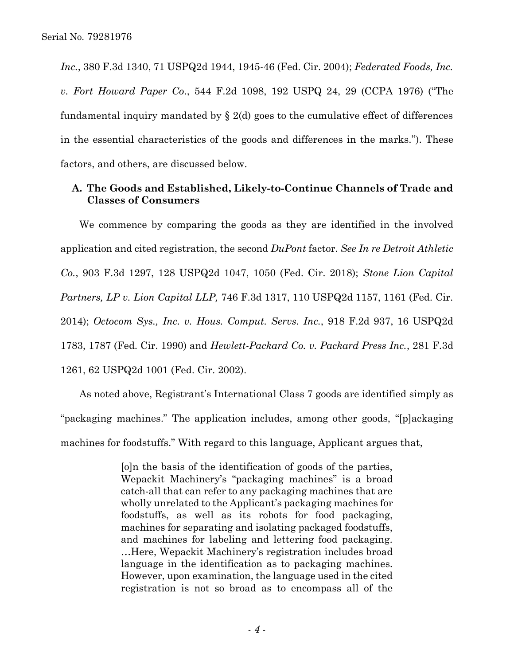*Inc.*, 380 F.3d 1340, 71 USPQ2d 1944, 1945-46 (Fed. Cir. 2004); *Federated Foods, Inc. v. Fort Howard Paper Co*., 544 F.2d 1098, 192 USPQ 24, 29 (CCPA 1976) ("The fundamental inquiry mandated by  $\S$  2(d) goes to the cumulative effect of differences in the essential characteristics of the goods and differences in the marks."). These factors, and others, are discussed below.

## **A. The Goods and Established, Likely-to-Continue Channels of Trade and Classes of Consumers**

We commence by comparing the goods as they are identified in the involved application and cited registration, the second *DuPont* factor. *See In re Detroit Athletic Co.*, 903 F.3d 1297, 128 USPQ2d 1047, 1050 (Fed. Cir. 2018); *Stone Lion Capital Partners, LP v. Lion Capital LLP,* 746 F.3d 1317, 110 USPQ2d 1157, 1161 (Fed. Cir. 2014); *Octocom Sys., Inc. v. Hous. Comput. Servs. Inc.*, 918 F.2d 937, 16 USPQ2d 1783, 1787 (Fed. Cir. 1990) and *Hewlett-Packard Co. v. Packard Press Inc.*, 281 F.3d 1261, 62 USPQ2d 1001 (Fed. Cir. 2002).

As noted above, Registrant's International Class 7 goods are identified simply as "packaging machines." The application includes, among other goods, "[p]ackaging machines for foodstuffs." With regard to this language, Applicant argues that,

> [o]n the basis of the identification of goods of the parties, Wepackit Machinery's "packaging machines" is a broad catch-all that can refer to any packaging machines that are wholly unrelated to the Applicant's packaging machines for foodstuffs, as well as its robots for food packaging, machines for separating and isolating packaged foodstuffs, and machines for labeling and lettering food packaging. …Here, Wepackit Machinery's registration includes broad language in the identification as to packaging machines. However, upon examination, the language used in the cited registration is not so broad as to encompass all of the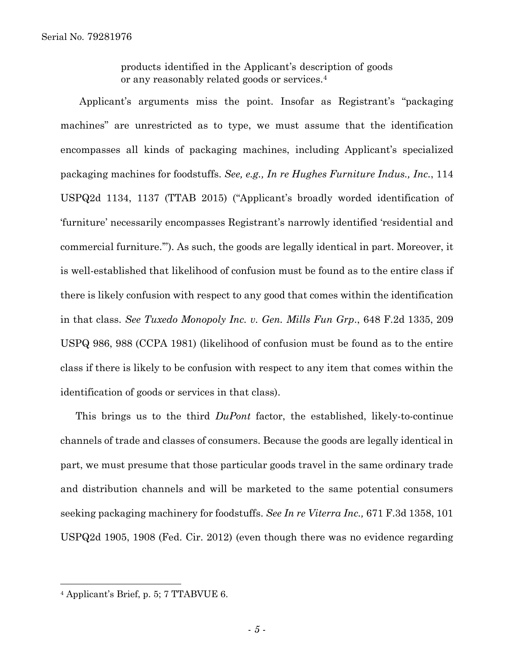products identified in the Applicant's description of goods or any reasonably related goods or services.<sup>4</sup>

Applicant's arguments miss the point. Insofar as Registrant's "packaging machines" are unrestricted as to type, we must assume that the identification encompasses all kinds of packaging machines, including Applicant's specialized packaging machines for foodstuffs. *See, e.g., In re Hughes Furniture Indus., Inc.*, 114 USPQ2d 1134, 1137 (TTAB 2015) ("Applicant's broadly worded identification of 'furniture' necessarily encompasses Registrant's narrowly identified 'residential and commercial furniture.'"). As such, the goods are legally identical in part. Moreover, it is well-established that likelihood of confusion must be found as to the entire class if there is likely confusion with respect to any good that comes within the identification in that class. *See Tuxedo Monopoly Inc. v. Gen. Mills Fun Grp*., 648 F.2d 1335, 209 USPQ 986, 988 (CCPA 1981) (likelihood of confusion must be found as to the entire class if there is likely to be confusion with respect to any item that comes within the identification of goods or services in that class).

This brings us to the third *DuPont* factor, the established, likely-to-continue channels of trade and classes of consumers. Because the goods are legally identical in part, we must presume that those particular goods travel in the same ordinary trade and distribution channels and will be marketed to the same potential consumers seeking packaging machinery for foodstuffs. *See In re Viterra Inc.,* 671 F.3d 1358, 101 USPQ2d 1905, 1908 (Fed. Cir. 2012) (even though there was no evidence regarding

l

<sup>4</sup> Applicant's Brief, p. 5; 7 TTABVUE 6.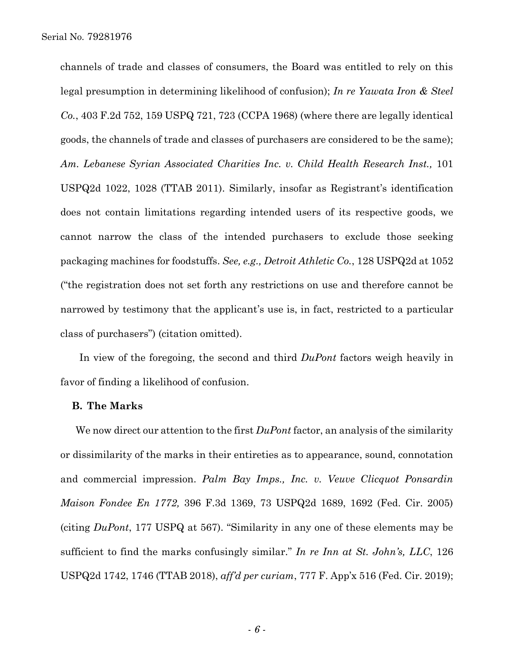channels of trade and classes of consumers, the Board was entitled to rely on this legal presumption in determining likelihood of confusion); *In re Yawata Iron & Steel Co.*, 403 F.2d 752, 159 USPQ 721, 723 (CCPA 1968) (where there are legally identical goods, the channels of trade and classes of purchasers are considered to be the same); *Am. Lebanese Syrian Associated Charities Inc. v. Child Health Research Inst.,* 101 USPQ2d 1022, 1028 (TTAB 2011). Similarly, insofar as Registrant's identification does not contain limitations regarding intended users of its respective goods, we cannot narrow the class of the intended purchasers to exclude those seeking packaging machines for foodstuffs. *See, e.g., Detroit Athletic Co.*, 128 USPQ2d at 1052 ("the registration does not set forth any restrictions on use and therefore cannot be narrowed by testimony that the applicant's use is, in fact, restricted to a particular class of purchasers") (citation omitted).

In view of the foregoing, the second and third *DuPont* factors weigh heavily in favor of finding a likelihood of confusion.

#### **B. The Marks**

We now direct our attention to the first *DuPont* factor, an analysis of the similarity or dissimilarity of the marks in their entireties as to appearance, sound, connotation and commercial impression. *Palm Bay Imps., Inc. v. Veuve Clicquot Ponsardin Maison Fondee En 1772,* 396 F.3d 1369, 73 USPQ2d 1689, 1692 (Fed. Cir. 2005) (citing *DuPont*, 177 USPQ at 567). "Similarity in any one of these elements may be sufficient to find the marks confusingly similar." *In re Inn at St. John's, LLC*, 126 USPQ2d 1742, 1746 (TTAB 2018), *aff'd per curiam*, 777 F. App'x 516 (Fed. Cir. 2019);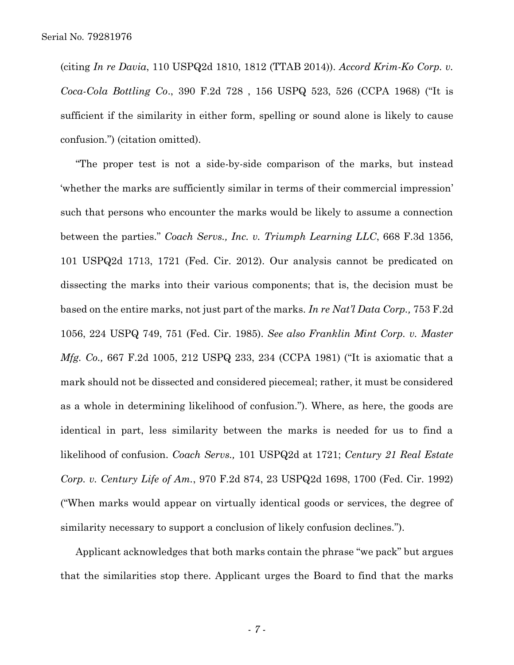(citing *In re Davia*, 110 USPQ2d 1810, 1812 (TTAB 2014)). *Accord Krim-Ko Corp. v. Coca-Cola Bottling Co*., 390 F.2d 728 , 156 USPQ 523, 526 (CCPA 1968) ("It is sufficient if the similarity in either form, spelling or sound alone is likely to cause confusion.") (citation omitted).

"The proper test is not a side-by-side comparison of the marks, but instead 'whether the marks are sufficiently similar in terms of their commercial impression' such that persons who encounter the marks would be likely to assume a connection between the parties." *Coach Servs., Inc. v. Triumph Learning LLC*, 668 F.3d 1356, 101 USPQ2d 1713, 1721 (Fed. Cir. 2012). Our analysis cannot be predicated on dissecting the marks into their various components; that is, the decision must be based on the entire marks, not just part of the marks. *In re Nat'l Data Corp.,* 753 F.2d 1056, 224 USPQ 749, 751 (Fed. Cir. 1985). *See also Franklin Mint Corp. v. Master Mfg. Co.,* 667 F.2d 1005, 212 USPQ 233, 234 (CCPA 1981) ("It is axiomatic that a mark should not be dissected and considered piecemeal; rather, it must be considered as a whole in determining likelihood of confusion."). Where, as here, the goods are identical in part, less similarity between the marks is needed for us to find a likelihood of confusion. *Coach Servs.,* 101 USPQ2d at 1721; *Century 21 Real Estate Corp. v. Century Life of Am.*, 970 F.2d 874, 23 USPQ2d 1698, 1700 (Fed. Cir. 1992) ("When marks would appear on virtually identical goods or services, the degree of similarity necessary to support a conclusion of likely confusion declines.").

Applicant acknowledges that both marks contain the phrase "we pack" but argues that the similarities stop there. Applicant urges the Board to find that the marks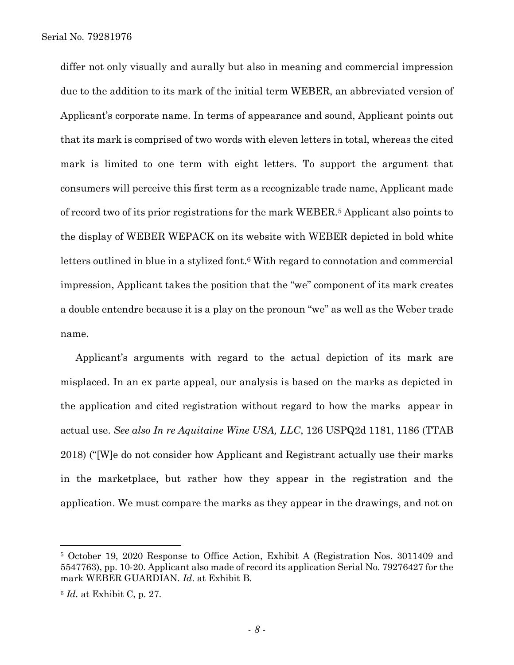differ not only visually and aurally but also in meaning and commercial impression due to the addition to its mark of the initial term WEBER, an abbreviated version of Applicant's corporate name. In terms of appearance and sound, Applicant points out that its mark is comprised of two words with eleven letters in total, whereas the cited mark is limited to one term with eight letters. To support the argument that consumers will perceive this first term as a recognizable trade name, Applicant made of record two of its prior registrations for the mark WEBER.<sup>5</sup> Applicant also points to the display of WEBER WEPACK on its website with WEBER depicted in bold white letters outlined in blue in a stylized font.<sup>6</sup> With regard to connotation and commercial impression, Applicant takes the position that the "we" component of its mark creates a double entendre because it is a play on the pronoun "we" as well as the Weber trade name.

Applicant's arguments with regard to the actual depiction of its mark are misplaced. In an ex parte appeal, our analysis is based on the marks as depicted in the application and cited registration without regard to how the marks appear in actual use. *See also In re Aquitaine Wine USA, LLC*, [126 USPQ2d 1181, 1186](https://www.bloomberglaw.com/product/ip/document/1?citation=126%20USPQ2d%201181&summary=yes#jcite) (TTAB 2018) ("[W]e do not consider how Applicant and Registrant actually use their marks in the marketplace, but rather how they appear in the registration and the application. We must compare the marks as they appear in the drawings, and not on

l

<sup>5</sup> October 19, 2020 Response to Office Action, Exhibit A (Registration Nos. 3011409 and 5547763), pp. 10-20. Applicant also made of record its application Serial No. 79276427 for the mark WEBER GUARDIAN. *Id*. at Exhibit B.

<sup>6</sup> *Id.* at Exhibit C, p. 27.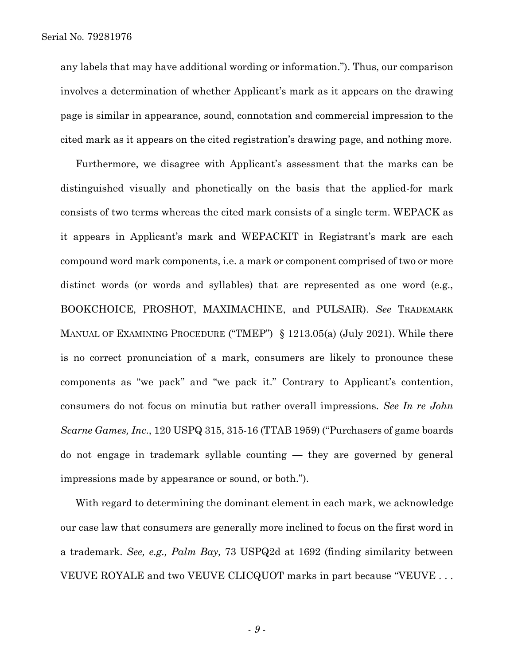any labels that may have additional wording or information."). Thus, our comparison involves a determination of whether Applicant's mark as it appears on the drawing page is similar in appearance, sound, connotation and commercial impression to the cited mark as it appears on the cited registration's drawing page, and nothing more.

Furthermore, we disagree with Applicant's assessment that the marks can be distinguished visually and phonetically on the basis that the applied-for mark consists of two terms whereas the cited mark consists of a single term. WEPACK as it appears in Applicant's mark and WEPACKIT in Registrant's mark are each compound word mark components, i.e. a mark or component comprised of two or more distinct words (or words and syllables) that are represented as one word (e.g., BOOKCHOICE, PROSHOT, MAXIMACHINE, and PULSAIR). *See* TRADEMARK MANUAL OF EXAMINING PROCEDURE ("TMEP") § 1213.05(a) (July 2021). While there is no correct pronunciation of a mark, consumers are likely to pronounce these components as "we pack" and "we pack it." Contrary to Applicant's contention, consumers do not focus on minutia but rather overall impressions*. See In re John Scarne Games, Inc*., 120 USPQ 315, 315-16 (TTAB 1959) ("Purchasers of game boards do not engage in trademark syllable counting — they are governed by general impressions made by appearance or sound, or both.").

With regard to determining the dominant element in each mark, we acknowledge our case law that consumers are generally more inclined to focus on the first word in a trademark. *See, e.g., Palm Bay,* 73 USPQ2d at 1692 (finding similarity between VEUVE ROYALE and two VEUVE CLICQUOT marks in part because "VEUVE . . .

- *9* -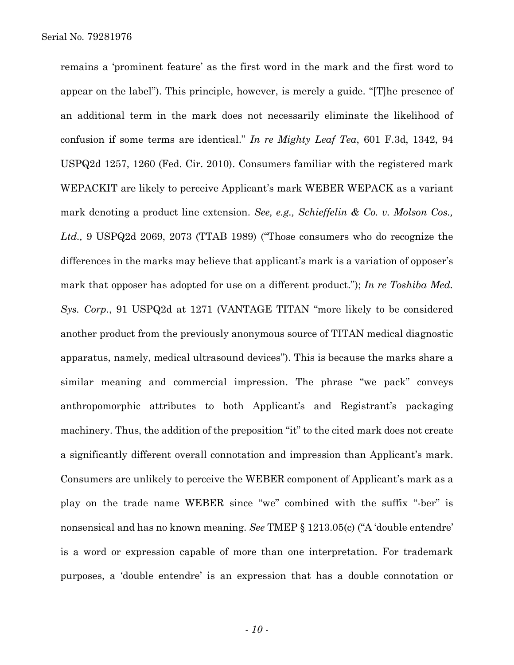remains a 'prominent feature' as the first word in the mark and the first word to appear on the label"). This principle, however, is merely a guide. "[T]he presence of an additional term in the mark does not necessarily eliminate the likelihood of confusion if some terms are identical." *In re Mighty Leaf Tea*, 601 F.3d, 1342, 94 USPQ2d 1257, 1260 (Fed. Cir. 2010). Consumers familiar with the registered mark WEPACKIT are likely to perceive Applicant's mark WEBER WEPACK as a variant mark denoting a product line extension. *See, e.g., Schieffelin & Co. v. Molson Cos., Ltd.,* 9 USPQ2d 2069, 2073 (TTAB 1989) ("Those consumers who do recognize the differences in the marks may believe that applicant's mark is a variation of opposer's mark that opposer has adopted for use on a different product."); *In re Toshiba Med. Sys. Corp.*, 91 USPQ2d at 1271 (VANTAGE TITAN "more likely to be considered another product from the previously anonymous source of TITAN medical diagnostic apparatus, namely, medical ultrasound devices"). This is because the marks share a similar meaning and commercial impression. The phrase "we pack" conveys anthropomorphic attributes to both Applicant's and Registrant's packaging machinery. Thus, the addition of the preposition "it" to the cited mark does not create a significantly different overall connotation and impression than Applicant's mark. Consumers are unlikely to perceive the WEBER component of Applicant's mark as a play on the trade name WEBER since "we" combined with the suffix "-ber" is nonsensical and has no known meaning. *See* TMEP § 1213.05(c) ("A 'double entendre' is a word or expression capable of more than one interpretation. For trademark purposes, a 'double entendre' is an expression that has a double connotation or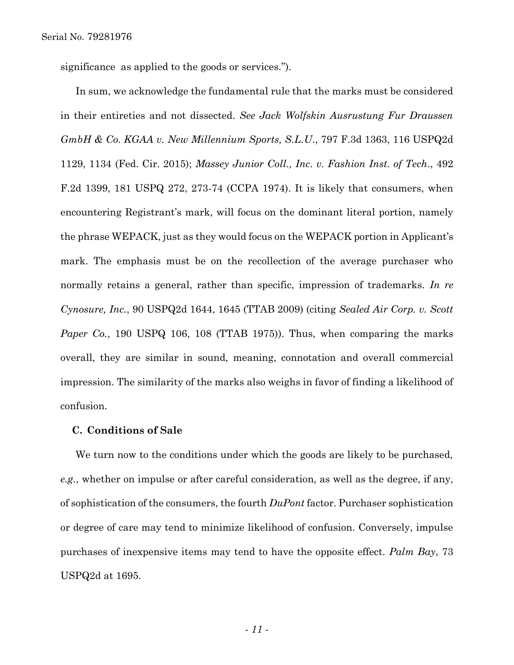significance as applied to the goods or services.").

In sum, we acknowledge the fundamental rule that the marks must be considered in their entireties and not dissected. *See Jack Wolfskin Ausrustung Fur Draussen GmbH & Co. KGAA v. New Millennium Sports, S.L.U*., 797 F.3d 1363, 116 USPQ2d 1129, 1134 (Fed. Cir. 2015); *Massey Junior Coll., Inc. v. Fashion Inst. of Tech*., 492 F.2d 1399, 181 USPQ 272, 273-74 (CCPA 1974). It is likely that consumers, when encountering Registrant's mark, will focus on the dominant literal portion, namely the phrase WEPACK, just as they would focus on the WEPACK portion in Applicant's mark. The emphasis must be on the recollection of the average purchaser who normally retains a general, rather than specific, impression of trademarks. *In re Cynosure, Inc.*, 90 USPQ2d 1644, 1645 (TTAB 2009) (citing *Sealed Air Corp. v. Scott Paper Co.*, 190 USPQ 106, 108 (TTAB 1975)). Thus, when comparing the marks overall, they are similar in sound, meaning, connotation and overall commercial impression. The similarity of the marks also weighs in favor of finding a likelihood of confusion.

### **C. Conditions of Sale**

We turn now to the conditions under which the goods are likely to be purchased, *e.g.*, whether on impulse or after careful consideration, as well as the degree, if any, of sophistication of the consumers, the fourth *DuPont* factor. Purchaser sophistication or degree of care may tend to minimize likelihood of confusion. Conversely, impulse purchases of inexpensive items may tend to have the opposite effect. *Palm Bay*, 73 USPQ2d at 1695.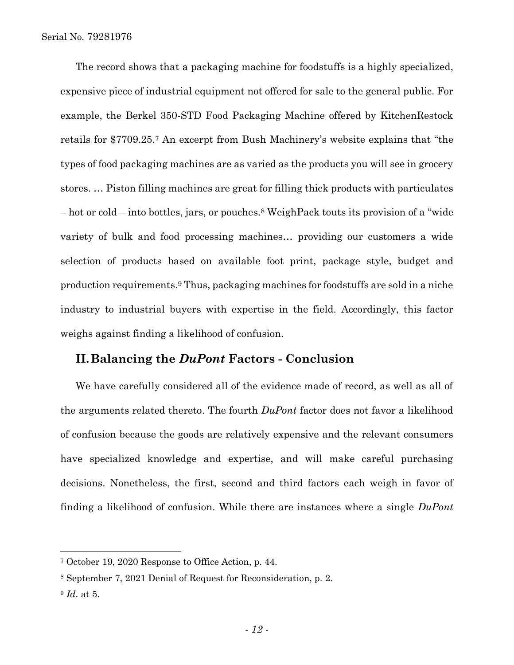The record shows that a packaging machine for foodstuffs is a highly specialized, expensive piece of industrial equipment not offered for sale to the general public. For example, the Berkel 350-STD Food Packaging Machine offered by KitchenRestock retails for \$7709.25.<sup>7</sup> An excerpt from Bush Machinery's website explains that "the types of food packaging machines are as varied as the products you will see in grocery stores. … Piston filling machines are great for filling thick products with particulates – hot or cold – into bottles, jars, or pouches.<sup>8</sup> WeighPack touts its provision of a "wide variety of bulk and food processing machines… providing our customers a wide selection of products based on available foot print, package style, budget and production requirements.<sup>9</sup> Thus, packaging machines for foodstuffs are sold in a niche industry to industrial buyers with expertise in the field. Accordingly, this factor weighs against finding a likelihood of confusion.

### **II.Balancing the** *DuPont* **Factors - Conclusion**

We have carefully considered all of the evidence made of record, as well as all of the arguments related thereto. The fourth *DuPont* factor does not favor a likelihood of confusion because the goods are relatively expensive and the relevant consumers have specialized knowledge and expertise, and will make careful purchasing decisions. Nonetheless, the first, second and third factors each weigh in favor of finding a likelihood of confusion. While there are instances where a single *DuPont*

l

<sup>7</sup> October 19, 2020 Response to Office Action, p. 44.

<sup>8</sup> September 7, 2021 Denial of Request for Reconsideration, p. 2.

<sup>9</sup> *Id*. at 5.